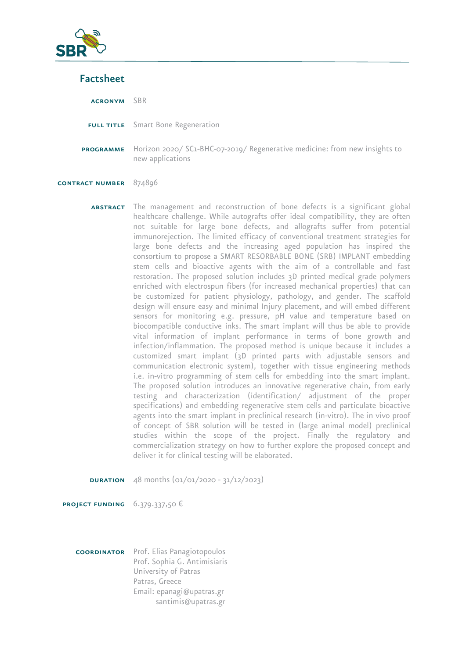

## Factsheet

acronym SBR FULL TITLE Smart Bone Regeneration programme Horizon 2020/ SC1-BHC-07-2019/ Regenerative medicine: from new insights to new applications contract number 874896

ABSTRACT The management and reconstruction of bone defects is a significant global healthcare challenge. While autografts offer ideal compatibility, they are often not suitable for large bone defects, and allografts suffer from potential immunorejection. The limited efficacy of conventional treatment strategies for large bone defects and the increasing aged population has inspired the consortium to propose a SMART RESORBABLE BONE (SRB) IMPLANT embedding stem cells and bioactive agents with the aim of a controllable and fast restoration. The proposed solution includes 3D printed medical grade polymers enriched with electrospun fibers (for increased mechanical properties) that can be customized for patient physiology, pathology, and gender. The scaffold design will ensure easy and minimal Injury placement, and will embed different sensors for monitoring e.g. pressure, pH value and temperature based on biocompatible conductive inks. The smart implant will thus be able to provide vital information of implant performance in terms of bone growth and infection/inflammation. The proposed method is unique because it includes a customized smart implant (3D printed parts with adjustable sensors and communication electronic system), together with tissue engineering methods i.e. in-vitro programming of stem cells for embedding into the smart implant. The proposed solution introduces an innovative regenerative chain, from early testing and characterization (identification/ adjustment of the proper specifications) and embedding regenerative stem cells and particulate bioactive agents into the smart implant in preclinical research (in-vitro). The in vivo proof of concept of SBR solution will be tested in (large animal model) preclinical studies within the scope of the project. Finally the regulatory and commercialization strategy on how to further explore the proposed concept and deliver it for clinical testing will be elaborated.

**DURATION**  $48$  months  $(01/01/2020 - 31/12/2023)$ 

**PROJECT FUNDING**  $6.379.337,50 \in$ 

coordinator Prof. Elias Panagiotopoulos Prof. Sophia G. Antimisiaris University of Patras Patras, Greece Email: epanagi@upatras.gr santimis@upatras.gr